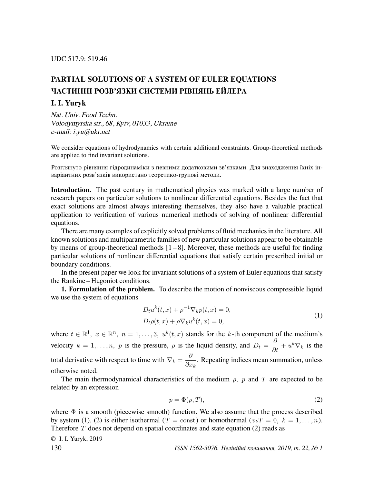## PARTIAL SOLUTIONS OF A SYSTEM OF EULER EQUATIONS ЧАСТИННI РОЗВ'ЯЗКИ СИСТЕМИ РIВНЯНЬ ЕЙЛЕРА

## I. I. Yuryk

Nat. Univ. Food Techn. Volodymyrska str., 68, Kyiv, 01033, Ukraine e-mail: i.yu@ukr.net

We consider equations of hydrodynamics with certain additional constraints. Group-theoretical methods are applied to find invariant solutions.

Розглянуто рiвняння гiдродинамiки з певними додатковими зв'язками. Для знаходження їхнiх iнварiантних розв'язкiв використано теоретико-груповi методи.

Introduction. The past century in mathematical physics was marked with a large number of research papers on particular solutions to nonlinear differential equations. Besides the fact that exact solutions are almost always interesting themselves, they also have a valuable practical application to verification of various numerical methods of solving of nonlinear differential equations.

There are many examples of explicitly solved problems of fluid mechanics in the literature. All known solutions and multiparametric families of new particular solutions appear to be obtainable by means of group-theoretical methods  $[1 - 8]$ . Moreover, these methods are useful for finding particular solutions of nonlinear differential equations that satisfy certain prescribed initial or boundary conditions.

In the present paper we look for invariant solutions of a system of Euler equations that satisfy the Rankine – Hugoniot conditions.

1. Formulation of the problem. To describe the motion of nonviscous compressible liquid we use the system of equations

$$
D_t u^k(t, x) + \rho^{-1} \nabla_k p(t, x) = 0,
$$
  
\n
$$
D_t \rho(t, x) + \rho \nabla_k u^k(t, x) = 0,
$$
\n(1)

where  $t \in \mathbb{R}^1$ ,  $x \in \mathbb{R}^n$ ,  $n = 1, \ldots, 3$ ,  $u^k(t, x)$  stands for the k-th component of the medium's velocity  $k = 1, ..., n$ , p is the pressure,  $\rho$  is the liquid density, and  $D_t = \frac{\partial}{\partial t} + u^k \nabla_k$  is the total derivative with respect to time with  $\nabla_k = \frac{\partial}{\partial x^k}$  $\frac{\sigma}{\partial x_k}$ . Repeating indices mean summation, unless otherwise noted.

The main thermodynamical characteristics of the medium  $\rho$ , p and T are expected to be related by an expression

$$
p = \Phi(\rho, T),\tag{2}
$$

where  $\Phi$  is a smooth (piecewise smooth) function. We also assume that the process described by system (1), (2) is either isothermal (T = const) or homothermal ( $v_kT = 0, k = 1, ..., n$ ). Therefore  $T$  does not depend on spatial coordinates and state equation (2) reads as

© I. I. Yuryk, 2019 130 ISSN 1562-3076. Нелiнiйнi коливання, 2019, т. 22, № 1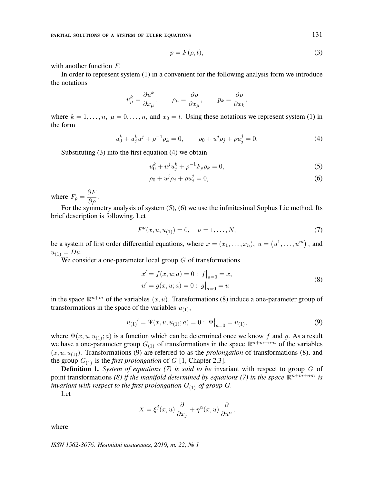PARTIAL SOLUTIONS OF A SYSTEM OF EULER EQUATIONS 131

$$
p = F(\rho, t),\tag{3}
$$

with another function F.

In order to represent system (1) in a convenient for the following analysis form we introduce the notations

$$
u^k_\mu = \frac{\partial u^k}{\partial x_\mu}, \qquad \rho_\mu = \frac{\partial \rho}{\partial x_\mu}, \qquad p_k = \frac{\partial p}{\partial x_k},
$$

where  $k = 1, \ldots, n$ ,  $\mu = 0, \ldots, n$ , and  $x_0 = t$ . Using these notations we represent system (1) in the form

$$
u_0^k + u_j^k u^j + \rho^{-1} p_k = 0, \qquad \rho_0 + u^j \rho_j + \rho u_j^j = 0.
$$
 (4)

Substituting (3) into the first equation (4) we obtain

$$
u_0^k + u^j u_j^k + \rho^{-1} F_\rho \rho_k = 0,\tag{5}
$$

$$
\rho_0 + u^j \rho_j + \rho u_j^j = 0,\tag{6}
$$

where  $F_{\rho} = \frac{\partial F}{\partial \rho}$ .

For the symmetry analysis of system (5), (6) we use the infinitesimal Sophus Lie method. Its brief description is following. Let

$$
F^{\nu}(x, u, u_{(1)}) = 0, \quad \nu = 1, \dots, N,
$$
\n(7)

be a system of first order differential equations, where  $x = (x_1, \dots, x_n)$ ,  $u = (u^1, \dots, u^m)$ , and  $u_{(1)} = Du.$ 

We consider a one-parameter local group  $G$  of transformations

$$
x' = f(x, u; a) = 0: f|_{a=0} = x,
$$
  
\n
$$
u' = g(x, u; a) = 0: g|_{a=0} = u
$$
\n(8)

in the space  $\mathbb{R}^{n+m}$  of the variables  $(x, u)$ . Transformations (8) induce a one-parameter group of transformations in the space of the variables  $u_{(1)}$ ,

$$
u_{(1)}' = \Psi(x, u, u_{(1)}; a) = 0: \Psi\big|_{a=0} = u_{(1)},\tag{9}
$$

where  $\Psi(x, u, u_{(1)}; a)$  is a function which can be determined once we know f and g. As a result we have a one-parameter group  $G_{(1)}$  of transformations in the space  $\mathbb{R}^{n+m+nm}$  of the variables  $(x, u, u_{(1)})$ . Transformations (9) are referred to as the *prolongation* of transformations (8), and the group  $G_{(1)}$  is the *first prolongation* of G [1, Chapter 2.3].

**Definition 1.** System of equations (7) is said to be invariant with respect to group  $G$  of point transformations (8) if the manifold determined by equations (7) in the space  $\mathbb{R}^{n+m+nm}$  is invariant with respect to the first prolongation  $G_{(1)}$  of group G.

Let

$$
X = \xi^{j}(x, u) \frac{\partial}{\partial x_{j}} + \eta^{\alpha}(x, u) \frac{\partial}{\partial u^{\alpha}},
$$

where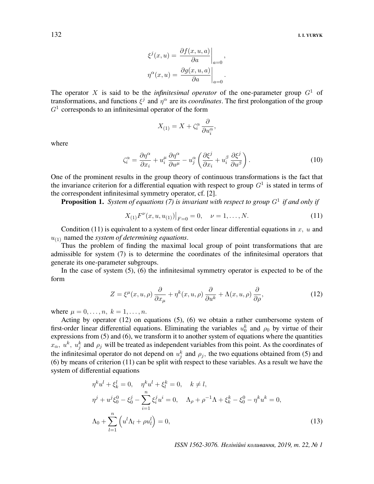$$
\xi^{j}(x, u) = \frac{\partial f(x, u, a)}{\partial a}\Big|_{a=0},
$$

$$
\eta^{\alpha}(x, u) = \frac{\partial g(x, u, a)}{\partial a}\Big|_{a=0}.
$$

The operator X is said to be the *infinitesimal operator* of the one-parameter group  $G<sup>1</sup>$  of transformations, and functions  $\xi^j$  and  $\eta^{\alpha}$  are its *coordinates*. The first prolongation of the group  $G<sup>1</sup>$  corresponds to an infinitesimal operator of the form

$$
X_{(1)} = X + \zeta_i^{\alpha} \frac{\partial}{\partial u_i^{\alpha}},
$$

where

$$
\zeta_i^{\alpha} = \frac{\partial \eta^{\alpha}}{\partial x_i} + u_i^{\mu} \frac{\partial \eta^{\alpha}}{\partial u^{\mu}} - u_j^{\alpha} \left( \frac{\partial \xi^j}{\partial x_i} + u_i^{\beta} \frac{\partial \xi^j}{\partial u^{\beta}} \right).
$$
 (10)

One of the prominent results in the group theory of continuous transformations is the fact that the invariance criterion for a differential equation with respect to group  $G<sup>1</sup>$  is stated in terms of the correspondent infinitesimal symmetry operator, cf. [2].

**Proposition 1.** System of equations (7) is invariant with respect to group  $G^1$  if and only if

$$
X_{(1)}F^{\nu}(x, u, u_{(1)})|_{F=0} = 0, \quad \nu = 1, \dots, N.
$$
 (11)

Condition (11) is equivalent to a system of first order linear differential equations in  $x$ ,  $u$  and  $u_{(1)}$  named the system of determining equations.

Thus the problem of finding the maximal local group of point transformations that are admissible for system (7) is to determine the coordinates of the infinitesimal operators that generate its one-parameter subgroups.

In the case of system (5), (6) the infinitesimal symmetry operator is expected to be of the form

$$
Z = \xi^{\mu}(x, u, \rho) \frac{\partial}{\partial x_{\mu}} + \eta^{k}(x, u, \rho) \frac{\partial}{\partial u^{k}} + \Lambda(x, u, \rho) \frac{\partial}{\partial \rho}, \qquad (12)
$$

where  $\mu = 0, ..., n, k = 1, ..., n$ .

Acting by operator (12) on equations (5), (6) we obtain a rather cumbersome system of first-order linear differential equations. Eliminating the variables  $u_0^k$  and  $\rho_0$  by virtue of their expressions from (5) and (6), we transform it to another system of equations where the quantities  $x_{\alpha}$ ,  $u^k$ ,  $u^k_j$  and  $\rho_j$  will be treated as independent variables from this point. As the coordinates of the infinitesimal operator do not depend on  $u_j^k$  and  $\rho_j$ , the two equations obtained from (5) and (6) by means of criterion (11) can be split with respect to these variables. As a result we have the system of differential equations

$$
\eta^k u^l + \xi_k^l = 0, \quad \eta^k u^l + \xi_l^k = 0, \quad k \neq l,
$$
  
\n
$$
\eta^j + u^j \xi_0^0 - \xi_0^j - \sum_{i=1}^n \xi_i^j u^i = 0, \quad \Lambda_\rho + \rho^{-1} \Lambda + \xi_k^k - \xi_0^0 - \eta^k u^k = 0,
$$
  
\n
$$
\Lambda_0 + \sum_{l=1}^n \left( u^l \Lambda_l + \rho u_l^l \right) = 0,
$$
\n(13)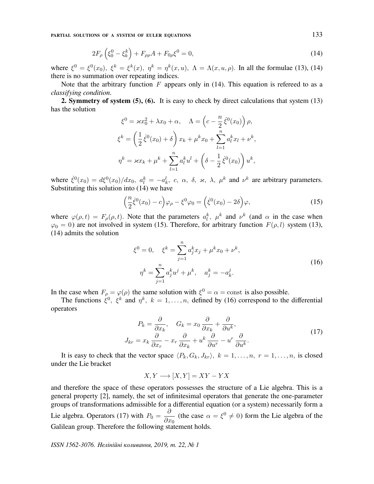PARTIAL SOLUTIONS OF A SYSTEM OF EULER EQUATIONS 133

$$
2F_{\rho}\left(\xi_0^0 - \xi_k^k\right) + F_{\rho\rho}A + F_{0\rho}\xi^0 = 0,\tag{14}
$$

where  $\xi^0 = \xi^0(x_0)$ ,  $\xi^k = \xi^k(x)$ ,  $\eta^k = \eta^k(x, u)$ ,  $\Lambda = \Lambda(x, u, \rho)$ . In all the formulae (13), (14) there is no summation over repeating indices.

Note that the arbitrary function  $F$  appears only in (14). This equation is refereed to as a classifying condition.

2. Symmetry of system (5), (6). It is easy to check by direct calculations that system (13) has the solution

$$
\xi^{0} = \varkappa x_{0}^{2} + \lambda x_{0} + \alpha, \quad \Lambda = \left(c - \frac{n}{2} \dot{\xi}^{0}(x_{0})\right) \rho,
$$
  

$$
\xi^{k} = \left(\frac{1}{2} \dot{\xi}^{0}(x_{0}) + \delta\right) x_{k} + \mu^{k} x_{0} + \sum_{l=1}^{n} a_{l}^{k} x_{l} + \nu^{k},
$$
  

$$
\eta^{k} = \varkappa x_{k} + \mu^{k} + \sum_{l=1}^{n} a_{l}^{k} u^{l} + \left(\delta - \frac{1}{2} \dot{\xi}^{0}(x_{0})\right) u^{k},
$$

where  $\dot{\xi}^0(x_0) = d\xi^0(x_0)/dx_0$ ,  $a_l^k = -a_k^l$ , c,  $\alpha$ ,  $\delta$ ,  $\varkappa$ ,  $\lambda$ ,  $\mu^k$  and  $\nu^k$  are arbitrary parameters. Substituting this solution into (14) we have

$$
\left(\frac{n}{2}\dot{\xi}^0(x_0) - c\right)\varphi_\rho - \xi^0\varphi_0 = \left(\dot{\xi}^0(x_0) - 2\delta\right)\varphi,\tag{15}
$$

where  $\varphi(\rho, t) = F_{\rho}(\rho, t)$ . Note that the parameters  $a_l^k$ ,  $\mu^k$  and  $\nu^k$  (and  $\alpha$  in the case when  $\varphi_0 = 0$ ) are not involved in system (15). Therefore, for arbitrary function  $F(\rho, l)$  system (13), (14) admits the solution

$$
\xi^{0} = 0, \quad \xi^{k} = \sum_{j=1}^{n} a_{j}^{k} x_{j} + \mu^{k} x_{0} + \nu^{k},
$$
  

$$
\eta^{k} = \sum_{j=1}^{n} a_{j}^{k} u^{j} + \mu^{k}, \quad a_{j}^{k} = -a_{k}^{j}.
$$
 (16)

In the case when  $F_{\rho} = \varphi(\rho)$  the same solution with  $\xi^0 = \alpha = \text{const}$  is also possible.

The functions  $\xi^0$ ,  $\xi^k$  and  $\eta^k$ ,  $k = 1, \dots, n$ , defined by (16) correspond to the differential operators

$$
P_k = \frac{\partial}{\partial x_k}, \quad G_k = x_0 \frac{\partial}{\partial x_k} + \frac{\partial}{\partial u^k},
$$
  

$$
J_{kr} = x_k \frac{\partial}{\partial x_r} - x_r \frac{\partial}{\partial x_k} + u^k \frac{\partial}{\partial u^r} - u^r \frac{\partial}{\partial u^k}.
$$
 (17)

It is easy to check that the vector space  $\langle P_k, G_k, J_{kr} \rangle$ ,  $k = 1, \ldots, n$ ,  $r = 1, \ldots, n$ , is closed under the Lie bracket

$$
X, Y \longrightarrow [X, Y] = XY - YX
$$

and therefore the space of these operators possesses the structure of a Lie algebra. This is a general property [2], namely, the set of infinitesimal operators that generate the one-parameter groups of transformations admissible for a differential equation (or a system) necessarily form a Lie algebra. Operators (17) with  $P_0 = \frac{\partial}{\partial x}$  $\frac{\partial}{\partial x_0}$  (the case  $\alpha = \xi^0 \neq 0$ ) form the Lie algebra of the Galilean group. Therefore the following statement holds.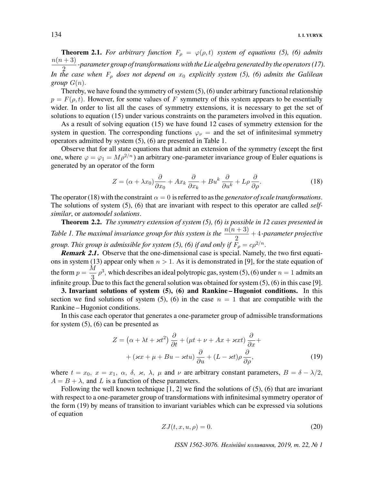**Theorem 2.1.** For arbitrary function  $F_{\rho} = \varphi(\rho, t)$  system of equations (5), (6) admits  $n(n+3)$  $\frac{1}{2}$  -parameter group of transformations with the Lie algebra generated by the operators (17). In the case when  $F_{\rho}$  does not depend on  $x_0$  explicitly system (5), (6) admits the Galilean group  $G(n)$ .

Thereby, we have found the symmetry of system  $(5)$ ,  $(6)$  under arbitrary functional relationship  $p = F(\rho, t)$ . However, for some values of F symmetry of this system appears to be essentially wider. In order to list all the cases of symmetry extensions, it is necessary to get the set of solutions to equation (15) under various constraints on the parameters involved in this equation.

As a result of solving equation (15) we have found 12 cases of symmetry extension for the system in question. The corresponding functions  $\varphi_{\nu}$  = and the set of infinitesimal symmetry operators admitted by system (5), (6) are presented in Table 1.

Observe that for all state equations that admit an extension of the symmetry (except the first one, where  $\varphi = \varphi_1 = M \rho^{2/n}$ ) an arbitrary one-parameter invariance group of Euler equations is generated by an operator of the form

$$
Z = (\alpha + \lambda x_0) \frac{\partial}{\partial x_0} + Ax_k \frac{\partial}{\partial x_k} + Bu^k \frac{\partial}{\partial u^k} + L\rho \frac{\partial}{\partial \rho}.
$$
 (18)

The operator (18) with the constraint  $\alpha = 0$  is referred to as the *generator of scale transformations*. The solutions of system  $(5)$ ,  $(6)$  that are invariant with respect to this operator are called *self*similar, or automodel solutions.

**Theorem 2.2.** The symmetry extension of system  $(5)$ ,  $(6)$  is possible in 12 cases presented in Table 1. The maximal invariance group for this system is the  $\frac{n(n + 3)}{2} + 4$ -parameter projective group. This group is admissible for system (5), (6) if and only if  $F_{\rho} = c\rho^{2/n}$ .

**Remark 2.1.** Observe that the one-dimensional case is special. Namely, the two first equations in system (13) appear only when  $n > 1$ . As it is demonstrated in [9], for the state equation of the form  $p = \frac{M}{r^2}$  $\frac{\pi}{3}$   $\rho^3$ , which describes an ideal polytropic gas, system (5), (6) under  $n = 1$  admits an infinite group. Due to this fact the general solution was obtained for system  $(5)$ ,  $(6)$  in this case [9].

3. Invariant solutions of system (5), (6) and Rankine – Hugoniot conditions. In this section we find solutions of system (5), (6) in the case  $n = 1$  that are compatible with the Rankine – Hugoniot conditions.

In this case each operator that generates a one-parameter group of admissible transformations for system (5), (6) can be presented as

$$
Z = (\alpha + \lambda t + \varkappa t^2) \frac{\partial}{\partial t} + (\mu t + \nu + Ax + \varkappa x t) \frac{\partial}{\partial x} +
$$
  
+ (\varkappa x + \mu + Bu - \varkappa tu) \frac{\partial}{\partial u} + (L - \varkappa t) \rho \frac{\partial}{\partial \rho}, (19)

where  $t = x_0$ ,  $x = x_1$ ,  $\alpha$ ,  $\delta$ ,  $\varkappa$ ,  $\lambda$ ,  $\mu$  and  $\nu$  are arbitrary constant parameters,  $B = \delta - \lambda/2$ ,  $A = B + \lambda$ , and L is a function of these parameters.

Following the well known technique  $[1, 2]$  we find the solutions of  $(5)$ ,  $(6)$  that are invariant with respect to a one-parameter group of transformations with infinitesimal symmetry operator of the form (19) by means of transition to invariant variables which can be expressed via solutions of equation

$$
ZJ(t, x, u, \rho) = 0. \tag{20}
$$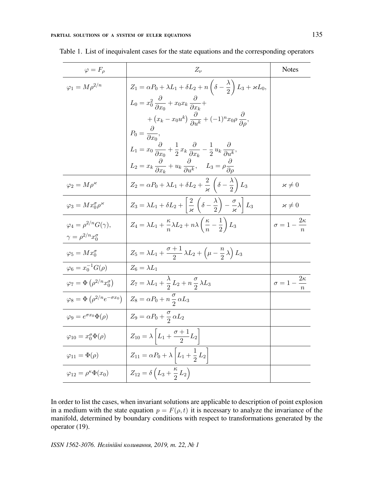| $\varphi = F_{\rho}$                                     | $Z_{\nu}$                                                                                                                                       | <b>Notes</b>                     |
|----------------------------------------------------------|-------------------------------------------------------------------------------------------------------------------------------------------------|----------------------------------|
| $\varphi_1 = M \rho^{2/n}$                               | $Z_1 = \alpha P_0 + \lambda L_1 + \delta L_2 + n \left( \delta - \frac{\lambda}{2} \right) L_3 + \varkappa L_0,$                                |                                  |
|                                                          | $L_0 = x_0^2 \frac{\partial}{\partial x_0} + x_0 x_k \frac{\partial}{\partial x_1} +$                                                           |                                  |
|                                                          | $+\left(x_k-x_0u^k\right)\frac{\partial}{\partial u^k}+(-1)^nx_0\rho\frac{\partial}{\partial u^k},$                                             |                                  |
|                                                          | $P_0 = \frac{\sigma}{\partial x_0},$                                                                                                            |                                  |
|                                                          | $L_1 = x_0 \frac{\partial}{\partial x_0} + \frac{1}{2} x_k \frac{\partial}{\partial x_k} - \frac{1}{2} u_k \frac{\partial}{\partial u^k},$      |                                  |
|                                                          | $L_2 = x_k \frac{\partial}{\partial x_k} + u_k \frac{\partial}{\partial u^k}, \quad L_3 = \rho \frac{\partial}{\partial a}$                     |                                  |
| $\varphi_2 = M \rho^{\varkappa}$                         | $Z_2 = \alpha P_0 + \lambda L_1 + \delta L_2 + \frac{2}{\varkappa} \left( \delta - \frac{\lambda}{2} \right) L_3$                               | $\varkappa\neq 0$                |
| $\varphi_3 = M x_0^{\sigma} \rho^{\varkappa}$            | $Z_3 = \lambda L_1 + \delta L_2 + \left[\frac{2}{\varkappa}\left(\delta - \frac{\lambda}{2}\right) - \frac{\sigma}{\varkappa}\lambda\right]L_3$ | $\varkappa\neq 0$                |
| $\varphi_4 = \rho^{2/n} G(\gamma),$                      | $Z_4 = \lambda L_1 + \frac{\kappa}{n} \lambda L_2 + n \lambda \left(\frac{\kappa}{n} - \frac{1}{2}\right) L_3$                                  | $\sigma = 1 - \frac{2\kappa}{r}$ |
| $\gamma = \rho^{2/n} x_0^{\sigma}$                       |                                                                                                                                                 |                                  |
| $\varphi_5 = M x_0^{\sigma}$                             | $Z_5 = \lambda L_1 + \frac{\sigma+1}{2}\lambda L_2 + \left(\mu - \frac{n}{2}\lambda\right)L_3$                                                  |                                  |
| $\varphi_6 = x_0^{-1} G(\rho)$                           | $Z_6 = \lambda L_1$                                                                                                                             |                                  |
| $\varphi_7 = \Phi\left(\rho^{2/n} x_0^{\sigma}\right)$   | $Z_7 = \lambda L_1 + \frac{\lambda}{2} L_2 + n \frac{\sigma}{2} \lambda L_3$                                                                    | $\sigma = 1 - \frac{2\kappa}{n}$ |
| $\varphi_8 = \Phi\left(\rho^{2/n}e^{-\sigma x_0}\right)$ | $Z_8 = \alpha P_0 + n \frac{\sigma}{2} \alpha L_3$                                                                                              |                                  |
| $\varphi_9=e^{\sigma x_0}\Phi(\rho)$                     | $Z_9 = \alpha P_0 + \frac{\sigma}{2} \alpha L_2$                                                                                                |                                  |
| $\varphi_{10} = x_0^{\sigma} \Phi(\rho)$                 | $Z_{10} = \lambda \left  L_1 + \frac{\sigma + 1}{2} L_2 \right $                                                                                |                                  |
| $\varphi_{11} = \Phi(\rho)$                              | $Z_{11} = \alpha P_0 + \lambda \left  L_1 + \frac{1}{2} L_2 \right $                                                                            |                                  |
| $\varphi_{12} = \rho^{\kappa} \Phi(x_0)$                 | $Z_{12} = \delta \left( L_3 + \frac{\kappa}{2} L_2 \right)$                                                                                     |                                  |

Table 1. List of inequivalent cases for the state equations and the corresponding operators

In order to list the cases, when invariant solutions are applicable to description of point explosion in a medium with the state equation  $p = F(\rho, t)$  it is necessary to analyze the invariance of the manifold, determined by boundary conditions with respect to transformations generated by the operator (19).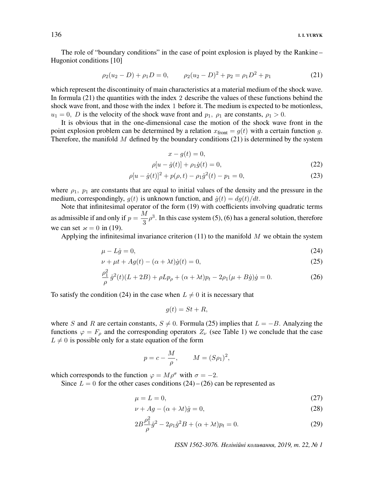The role of "boundary conditions" in the case of point explosion is played by the Rankine – Hugoniot conditions [10]

$$
\rho_2(u_2 - D) + \rho_1 D = 0, \qquad \rho_2(u_2 - D)^2 + p_2 = \rho_1 D^2 + p_1 \tag{21}
$$

which represent the discontinuity of main characteristics at a material medium of the shock wave. In formula (21) the quantities with the index 2 describe the values of these functions behind the shock wave front, and those with the index 1 before it. The medium is expected to be motionless,  $u_1 = 0$ , D is the velocity of the shock wave front and  $p_1$ ,  $p_1$  are constants,  $p_1 > 0$ .

It is obvious that in the one-dimensional case the motion of the shock wave front in the point explosion problem can be determined by a relation  $x_{front} = g(t)$  with a certain function g. Therefore, the manifold M defined by the boundary conditions  $(21)$  is determined by the system

$$
x - g(t) = 0,
$$

$$
\rho[u - \dot{g}(t)] + \rho_1 \dot{g}(t) = 0,\t\t(22)
$$

$$
\rho[u - \dot{g}(t)]^2 + p(\rho, t) - \rho_1 \dot{g}^2(t) - p_1 = 0,\tag{23}
$$

where  $\rho_1$ ,  $p_1$  are constants that are equal to initial values of the density and the pressure in the medium, correspondingly,  $g(t)$  is unknown function, and  $\dot{g}(t) = dg(t)/dt$ .

Note that infinitesimal operator of the form (19) with coefficients involving quadratic terms as admissible if and only if  $p = \frac{M}{2}$  $\frac{\sqrt{2}}{3}\rho^3$ . In this case system (5), (6) has a general solution, therefore we can set  $\varkappa = 0$  in (19).

Applying the infinitesimal invariance criterion  $(11)$  to the manifold M we obtain the system

$$
\mu - L\dot{g} = 0,\tag{24}
$$

$$
\nu + \mu t + Ag(t) - (\alpha + \lambda t)\dot{g}(t) = 0,\tag{25}
$$

$$
\frac{\rho_1^2}{\rho} \dot{g}^2(t)(L+2B) + \rho L p_\rho + (\alpha + \lambda t)p_t - 2\rho_1(\mu + B\dot{g})\dot{g} = 0.
$$
 (26)

To satisfy the condition (24) in the case when  $L \neq 0$  it is necessary that

$$
g(t) = St + R,
$$

where S and R are certain constants,  $S \neq 0$ . Formula (25) implies that  $L = -B$ . Analyzing the functions  $\varphi = F_\rho$  and the corresponding operators  $Z_\nu$  (see Table 1) we conclude that the case  $L \neq 0$  is possible only for a state equation of the form

$$
p = c - \frac{M}{\rho}, \qquad M = (S\rho_1)^2,
$$

which corresponds to the function  $\varphi = M \rho^{\sigma}$  with  $\sigma = -2$ .

Since  $L = 0$  for the other cases conditions  $(24) - (26)$  can be represented as

$$
\mu = L = 0,\tag{27}
$$

$$
\nu + Ag - (\alpha + \lambda t)\dot{g} = 0,\tag{28}
$$

$$
2B\frac{\rho_1^2}{\rho}\dot{g}^2 - 2\rho_1\dot{g}^2B + (\alpha + \lambda t)p_t = 0.
$$
 (29)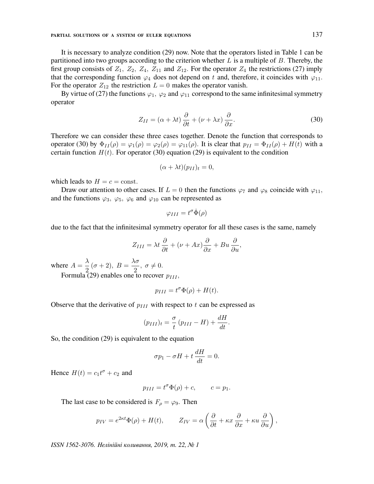It is necessary to analyze condition (29) now. Note that the operators listed in Table 1 can be partitioned into two groups according to the criterion whether  $L$  is a multiple of  $B$ . Thereby, the first group consists of  $Z_1$ ,  $Z_2$ ,  $Z_4$ ,  $Z_{11}$  and  $Z_{12}$ . For the operator  $Z_4$  the restrictions (27) imply that the corresponding function  $\varphi_4$  does not depend on t and, therefore, it coincides with  $\varphi_{11}$ . For the operator  $Z_{12}$  the restriction  $L = 0$  makes the operator vanish.

By virtue of (27) the functions  $\varphi_1$ ,  $\varphi_2$  and  $\varphi_{11}$  correspond to the same infinitesimal symmetry operator

$$
Z_{II} = (\alpha + \lambda t) \frac{\partial}{\partial t} + (\nu + \lambda x) \frac{\partial}{\partial x}.
$$
 (30)

Therefore we can consider these three cases together. Denote the function that corresponds to operator (30) by  $\Phi_{II}(\rho) = \varphi_1(\rho) = \varphi_2(\rho) = \varphi_{11}(\rho)$ . It is clear that  $p_{II} = \Phi_{II}(\rho) + H(t)$  with a certain function  $H(t)$ . For operator (30) equation (29) is equivalent to the condition

$$
(\alpha + \lambda t)(p_{II})_t = 0,
$$

which leads to  $H = c = \text{const.}$ 

Draw our attention to other cases. If  $L = 0$  then the functions  $\varphi_7$  and  $\varphi_8$  coincide with  $\varphi_{11}$ , and the functions  $\varphi_3$ ,  $\varphi_5$ ,  $\varphi_6$  and  $\varphi_{10}$  can be represented as

$$
\varphi_{III} = t^{\sigma} \dot{\Phi}(\rho)
$$

due to the fact that the infinitesimal symmetry operator for all these cases is the same, namely

$$
Z_{III} = \lambda t \frac{\partial}{\partial t} + (\nu + Ax) \frac{\partial}{\partial x} + Bu \frac{\partial}{\partial u},
$$

where  $A = \frac{\lambda}{2}$  $\frac{\lambda}{2}(\sigma+2), B=\frac{\lambda\sigma}{2}$  $\frac{16}{2}$ ,  $\sigma \neq 0$ . Formula (29) enables one to recover  $p_{III}$ ,

$$
p_{III} = t^{\sigma} \Phi(\rho) + H(t).
$$

Observe that the derivative of  $p_{III}$  with respect to t can be expressed as

$$
(p_{III})_t = \frac{\sigma}{t} (p_{III} - H) + \frac{dH}{dt}.
$$

So, the condition (29) is equivalent to the equation

$$
\sigma p_1 - \sigma H + t \frac{dH}{dt} = 0.
$$

Hence  $H(t) = c_1 t^{\sigma} + c_2$  and

$$
p_{III} = t^{\sigma} \Phi(\rho) + c, \qquad c = p_1.
$$

The last case to be considered is  $F_{\rho} = \varphi_9$ . Then

$$
p_{IV} = e^{2\kappa t} \Phi(\rho) + H(t), \qquad Z_{IV} = \alpha \left( \frac{\partial}{\partial t} + \kappa x \frac{\partial}{\partial x} + \kappa u \frac{\partial}{\partial u} \right),
$$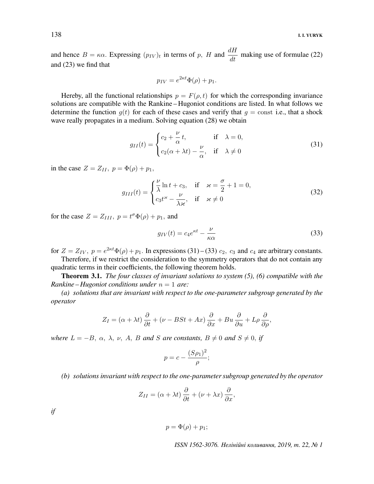and hence  $B = \kappa \alpha$ . Expressing  $(p_{IV})_t$  in terms of p, H and  $\frac{dH}{dt}$  making use of formulae (22) and (23) we find that

$$
p_{IV} = e^{2\kappa t} \Phi(\rho) + p_1.
$$

Hereby, all the functional relationships  $p = F(\rho, t)$  for which the corresponding invariance solutions are compatible with the Rankine – Hugoniot conditions are listed. In what follows we determine the function  $g(t)$  for each of these cases and verify that  $g = \text{const}$  i.e., that a shock wave really propagates in a medium. Solving equation (28) we obtain

$$
g_{II}(t) = \begin{cases} c_2 + \frac{\nu}{\alpha}t, & \text{if } \lambda = 0, \\ c_2(\alpha + \lambda t) - \frac{\nu}{\alpha}, & \text{if } \lambda \neq 0 \end{cases}
$$
(31)

in the case  $Z = Z_{II}$ ,  $p = \Phi(\rho) + p_1$ ,

$$
g_{III}(t) = \begin{cases} \frac{\nu}{\lambda} \ln t + c_3, & \text{if } \varkappa = \frac{\sigma}{2} + 1 = 0, \\ c_3 t^{\varkappa} - \frac{\nu}{\lambda \varkappa}, & \text{if } \varkappa \neq 0 \end{cases}
$$
(32)

for the case  $Z = Z_{III}$ ,  $p = t^{\sigma} \Phi(\rho) + p_1$ , and

$$
g_{IV}(t) = c_4 e^{\kappa t} - \frac{\nu}{\kappa \alpha} \tag{33}
$$

for  $Z = Z_{IV}$ ,  $p = e^{2\kappa t} \Phi(\rho) + p_1$ . In expressions (31) – (33)  $c_2$ ,  $c_3$  and  $c_4$  are arbitrary constants.

Therefore, if we restrict the consideration to the symmetry operators that do not contain any quadratic terms in their coefficients, the following theorem holds.

**Theorem 3.1.** The four classes of invariant solutions to system  $(5)$ ,  $(6)$  compatible with the Rankine – Hugoniot conditions under  $n = 1$  are:

(a) solutions that are invariant with respect to the one-parameter subgroup generated by the operator

$$
Z_I = (\alpha + \lambda t) \frac{\partial}{\partial t} + (\nu - BSt + Ax) \frac{\partial}{\partial x} + Bu \frac{\partial}{\partial u} + L\rho \frac{\partial}{\partial \rho},
$$

where  $L = -B$ ,  $\alpha$ ,  $\lambda$ ,  $\nu$ ,  $A$ ,  $B$  and  $S$  are constants,  $B \neq 0$  and  $S \neq 0$ , if

$$
p = c - \frac{(S\rho_1)^2}{\rho};
$$

(b) solutions invariant with respect to the one-parameter subgroup generated by the operator

$$
Z_{II} = (\alpha + \lambda t) \frac{\partial}{\partial t} + (\nu + \lambda x) \frac{\partial}{\partial x},
$$

if

 $p = \Phi(\rho) + p_1;$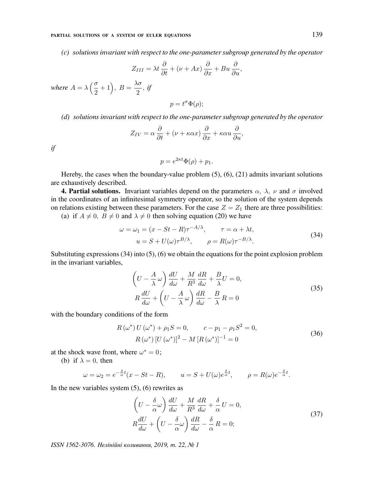(c) solutions invariant with respect to the one-parameter subgroup generated by the operator

$$
Z_{III} = \lambda t \frac{\partial}{\partial t} + (\nu + Ax) \frac{\partial}{\partial x} + Bu \frac{\partial}{\partial u},
$$

where  $A = \lambda \left( \frac{\sigma}{\gamma} \right)$  $\left(\frac{\sigma}{2}+1\right), B=\frac{\lambda\sigma}{2}$  $\frac{16}{2}$ , if

$$
p = t^{\sigma} \Phi(\rho);
$$

(d) solutions invariant with respect to the one-parameter subgroup generated by the operator

$$
Z_{IV} = \alpha \frac{\partial}{\partial t} + (\nu + \kappa \alpha x) \frac{\partial}{\partial x} + \kappa \alpha u \frac{\partial}{\partial u},
$$

if

$$
p = e^{2\kappa t} \Phi(\rho) + p_1.
$$

Hereby, the cases when the boundary-value problem (5), (6), (21) admits invariant solutions are exhaustively described.

**4. Partial solutions.** Invariant variables depend on the parameters  $\alpha$ ,  $\lambda$ ,  $\nu$  and  $\sigma$  involved in the coordinates of an infinitesimal symmetry operator, so the solution of the system depends on relations existing between these parameters. For the case  $Z = Z_1$  there are three possibilities: (a) if  $A \neq 0$ ,  $B \neq 0$  and  $\lambda \neq 0$  then solving equation (20) we have

$$
\omega = \omega_1 = (x - St - R)\tau^{-A/\lambda}, \qquad \tau = \alpha + \lambda t,
$$
  
\n
$$
u = S + U(\omega)\tau^{B/\lambda}, \qquad \rho = R(\omega)\tau^{-B/\lambda}.
$$
\n(34)

Substituting expressions  $(34)$  into  $(5)$ ,  $(6)$  we obtain the equations for the point explosion problem in the invariant variables,

$$
\left(U - \frac{A}{\lambda}\omega\right)\frac{dU}{d\omega} + \frac{M}{R^3}\frac{dR}{d\omega} + \frac{B}{\lambda}U = 0,
$$
\n
$$
R\frac{dU}{d\omega} + \left(U - \frac{A}{\lambda}\omega\right)\frac{dR}{d\omega} - \frac{B}{\lambda}R = 0
$$
\n(35)

with the boundary conditions of the form

$$
R(\omega^*) U(\omega^*) + \rho_1 S = 0, \qquad c - p_1 - \rho_1 S^2 = 0,
$$
  
\n
$$
R(\omega^*) [U(\omega^*)]^2 - M [R(\omega^*)]^{-1} = 0
$$
\n(36)

at the shock wave front, where  $\omega^* = 0$ ;

(b) if  $\lambda = 0$ , then

$$
\omega = \omega_2 = e^{-\frac{\delta}{\alpha}t}(x - St - R), \qquad u = S + U(\omega)e^{\frac{\delta}{\alpha}t}, \qquad \rho = R(\omega)e^{-\frac{\delta}{\alpha}t}.
$$

In the new variables system  $(5)$ ,  $(6)$  rewrites as

$$
\left(U - \frac{\delta}{\alpha}\omega\right)\frac{dU}{d\omega} + \frac{M}{R^3}\frac{dR}{d\omega} + \frac{\delta}{\alpha}U = 0,
$$
\n
$$
R\frac{dU}{d\omega} + \left(U - \frac{\delta}{\alpha}\omega\right)\frac{dR}{d\omega} - \frac{\delta}{\alpha}R = 0;
$$
\n(37)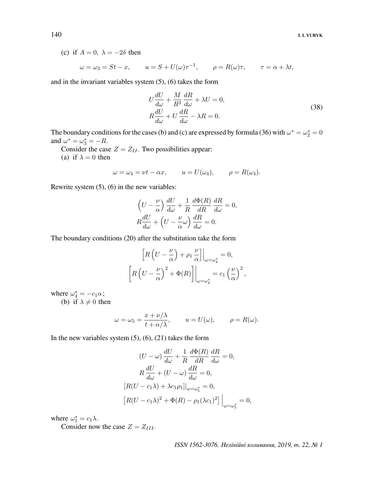(c) if  $A = 0$ ,  $\lambda = -2\delta$  then

$$
\omega = \omega_3 = St - x
$$
,  $u = S + U(\omega)\tau^{-1}$ ,  $\rho = R(\omega)\tau$ ,  $\tau = \alpha + \lambda t$ ,

and in the invariant variables system (5), (6) takes the form

$$
U\frac{dU}{d\omega} + \frac{M}{R^3}\frac{dR}{d\omega} + \lambda U = 0,
$$
  
\n
$$
R\frac{dU}{d\omega} + U\frac{dR}{d\omega} - \lambda R = 0.
$$
\n(38)

The boundary conditions for the cases (b) and (c) are expressed by formula (36) with  $\omega^* = \omega_2^* = 0$ and  $\omega^* = \omega_3^* = -R$ .

Consider the case  $Z = Z_{II}$ . Two possibilities appear:

(a) if  $\lambda = 0$  then

$$
\omega = \omega_4 = \nu t - \alpha x, \qquad u = U(\omega_4), \qquad \rho = R(\omega_4).
$$

Rewrite system (5), (6) in the new variables:

$$
\left(U - \frac{\nu}{\alpha}\right)\frac{dU}{d\omega} + \frac{1}{R}\frac{d\Phi(R)}{dR}\frac{dR}{d\omega} = 0,
$$
  

$$
R\frac{dU}{d\omega} + \left(U - \frac{\nu}{\alpha}\right)\frac{dR}{d\omega} = 0.
$$

The boundary conditions (20) after the substitution take the form

$$
\[R\left(U - \frac{\nu}{\alpha}\right) + \rho_1 \frac{\nu}{\alpha}\] \Big|_{\omega = \omega_4^*} = 0,
$$
  

$$
\[R\left(U - \frac{\nu}{\alpha}\right)^2 + \Phi(R)\] \Big|_{\omega = \omega_4^*} = c_1 \left(\frac{\nu}{\alpha}\right)^2,
$$

where  $\omega_4^* = -c_1 \alpha$ ;

(b) if  $\lambda \neq 0$  then

$$
\omega = \omega_5 = \frac{x + \nu/\lambda}{t + \alpha/\lambda}, \qquad u = U(\omega), \qquad \rho = R(\omega).
$$

In the new variables system  $(5)$ ,  $(6)$ ,  $(21)$  takes the form

$$
(U - \omega) \frac{dU}{d\omega} + \frac{1}{R} \frac{d\Phi(R)}{dR} \frac{dR}{d\omega} = 0,
$$
  
\n
$$
R \frac{dU}{d\omega} + (U - \omega) \frac{dR}{d\omega} = 0,
$$
  
\n
$$
[R(U - c_1\lambda) + \lambda c_1 \rho_1]|_{\omega = \omega_5^*} = 0,
$$
  
\n
$$
[R(U - c_1\lambda)^2 + \Phi(R) - \rho_1(\lambda c_1)^2]|_{\omega = \omega_5^*} = 0,
$$

where  $\omega_5^* = c_1 \lambda$ .

Consider now the case  $Z = Z_{III}$ .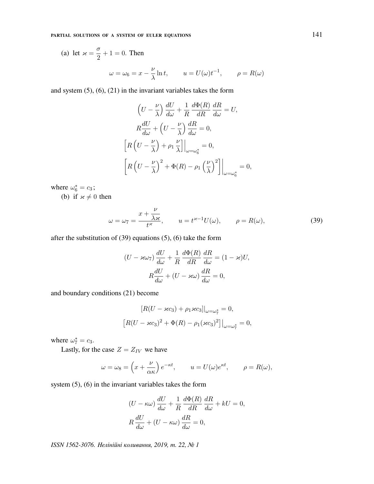(a) let 
$$
\varkappa = \frac{\sigma}{2} + 1 = 0
$$
. Then  
\n
$$
\omega = \omega_6 = x - \frac{\nu}{\lambda} \ln t, \qquad u = U(\omega)t^{-1}, \qquad \rho = R(\omega)
$$

and system (5), (6), (21) in the invariant variables takes the form

$$
\left(U - \frac{\nu}{\lambda}\right) \frac{dU}{d\omega} + \frac{1}{R} \frac{d\Phi(R)}{dR} \frac{dR}{d\omega} = U,
$$
  

$$
R \frac{dU}{d\omega} + \left(U - \frac{\nu}{\lambda}\right) \frac{dR}{d\omega} = 0,
$$
  

$$
\left[R\left(U - \frac{\nu}{\lambda}\right) + \rho_1 \frac{\nu}{\lambda}\right]\Big|_{\omega = \omega_6^*} = 0,
$$
  

$$
\left[R\left(U - \frac{\nu}{\lambda}\right)^2 + \Phi(R) - \rho_1 \left(\frac{\nu}{\lambda}\right)^2\right]\Big|_{\omega = \omega_6^*} = 0,
$$

where  $\omega_6^* = c_3$ ; (b) if  $x \neq 0$  then

$$
\omega = \omega_7 = \frac{x + \frac{\nu}{\lambda x}}{t^{\varkappa}}, \qquad u = t^{\varkappa - 1} U(\omega), \qquad \rho = R(\omega), \tag{39}
$$

after the substitution of (39) equations (5), (6) take the form

$$
(U - \varkappa \omega_7) \frac{dU}{d\omega} + \frac{1}{R} \frac{d\Phi(R)}{dR} \frac{dR}{d\omega} = (1 - \varkappa)U,
$$

$$
R \frac{dU}{d\omega} + (U - \varkappa \omega) \frac{dR}{d\omega} = 0,
$$

and boundary conditions (21) become

$$
[R(U - \varkappa c_3) + \rho_1 \varkappa c_3]|_{\omega = \omega_7^*} = 0,
$$
  

$$
[R(U - \varkappa c_3)^2 + \Phi(R) - \rho_1(\varkappa c_3)^2]|_{\omega = \omega_7^*} = 0,
$$

where  $\omega_7^* = c_3$ .

Lastly, for the case  $Z = Z_{IV}$  we have

$$
\omega = \omega_8 = \left(x + \frac{\nu}{\alpha \kappa}\right)e^{-\kappa t}, \qquad u = U(\omega)e^{\kappa t}, \qquad \rho = R(\omega),
$$

system (5), (6) in the invariant variables takes the form

$$
(U - \kappa \omega) \frac{dU}{d\omega} + \frac{1}{R} \frac{d\Phi(R)}{dR} \frac{dR}{d\omega} + kU = 0,
$$
  

$$
R \frac{dU}{d\omega} + (U - \kappa \omega) \frac{dR}{d\omega} = 0,
$$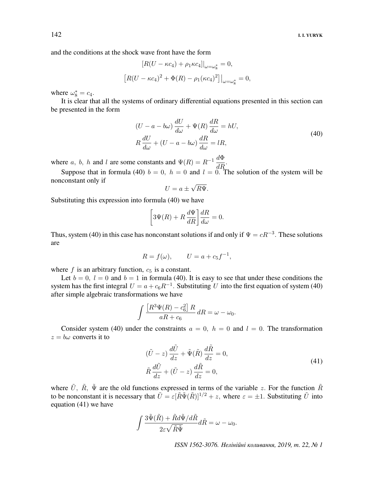and the conditions at the shock wave front have the form

$$
[R(U - \kappa c_4) + \rho_1 \kappa c_4]|_{\omega = \omega_8^*} = 0,
$$
  

$$
[R(U - \kappa c_4)^2 + \Phi(R) - \rho_1(\kappa c_4)^2]|_{\omega = \omega_8^*} = 0,
$$

where  $\omega_8^* = c_4$ .

It is clear that all the systems of ordinary differential equations presented in this section can be presented in the form

$$
(U - a - b\omega) \frac{dU}{d\omega} + \Psi(R) \frac{dR}{d\omega} = hU,
$$
  
\n
$$
R \frac{dU}{d\omega} + (U - a - b\omega) \frac{dR}{d\omega} = lR,
$$
\n(40)

where a, b, h and l are some constants and  $\Psi(R) = R^{-1} \frac{d\Phi}{dR}$ .

Suppose that in formula (40)  $b = 0$ ,  $h = 0$  and  $l = 0$ . The solution of the system will be nonconstant only if √

$$
U = a \pm \sqrt{R}\Psi.
$$

Substituting this expression into formula (40) we have

$$
\[3\Psi(R) + R\frac{d\Psi}{dR}\right]\frac{dR}{d\omega} = 0.
$$

Thus, system (40) in this case has nonconstant solutions if and only if  $\Psi = cR^{-3}$ . These solutions are

$$
R = f(\omega), \qquad U = a + c_5 f^{-1},
$$

where  $f$  is an arbitrary function,  $c_5$  is a constant.

Let  $b = 0$ ,  $l = 0$  and  $b = 1$  in formula (40). It is easy to see that under these conditions the system has the first integral  $U = a + c_6 R^{-1}$ . Substituting U into the first equation of system (40) after simple algebraic transformations we have

$$
\int \frac{\left[R^3 \Psi(R) - c_6^2\right] R}{aR + c_6} dR = \omega - \omega_0.
$$

Consider system (40) under the constraints  $a = 0$ ,  $h = 0$  and  $l = 0$ . The transformation  $z = b\omega$  converts it to

$$
(\tilde{U} - z) \frac{d\tilde{U}}{dz} + \tilde{\Psi}(\tilde{R}) \frac{d\tilde{R}}{dz} = 0,
$$
  
\n
$$
\tilde{R} \frac{d\tilde{U}}{dz} + (\tilde{U} - z) \frac{d\tilde{R}}{dz} = 0,
$$
\n(41)

where  $\tilde{U}$ ,  $\tilde{R}$ ,  $\tilde{\Psi}$  are the old functions expressed in terms of the variable z. For the function  $\tilde{R}$ to be nonconstant it is necessary that  $\tilde{U} = \varepsilon[\tilde{R}\tilde{\Psi}(\tilde{R})]^{1/2} + z$ , where  $\varepsilon = \pm 1$ . Substituting  $\tilde{U}$  into equation (41) we have

$$
\int \frac{3\tilde{\Psi}(\tilde{R}) + \tilde{R}d\tilde{\Psi}/d\tilde{R}}{2\varepsilon\sqrt{\tilde{R}\tilde{\Psi}}}d\tilde{R} = \omega - \omega_0.
$$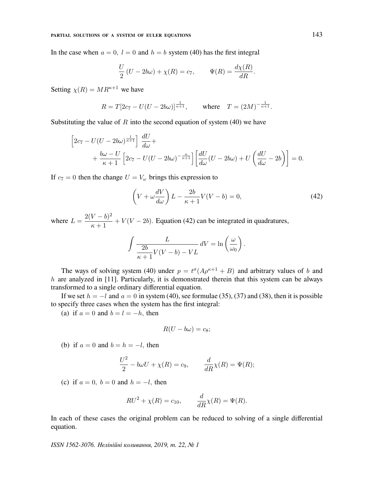In the case when  $a = 0$ ,  $l = 0$  and  $h = b$  system (40) has the first integral

$$
\frac{U}{2}(U - 2b\omega) + \chi(R) = c_7, \qquad \Psi(R) = \frac{d\chi(R)}{dR}.
$$

Setting  $\chi(R) = MR^{\kappa+1}$  we have

$$
R = T[2c_7 - U(U - 2b\omega)]^{\frac{1}{\kappa + 1}}, \quad \text{where} \quad T = (2M)^{-\frac{1}{\kappa + 1}}.
$$

Substituting the value of  $R$  into the second equation of system (40) we have

$$
\[2c_7 - U(U - 2b\omega)^{\frac{1}{\kappa+1}}\] \frac{dU}{d\omega} ++\frac{b\omega - U}{\kappa+1} \Big[2c_7 - U(U - 2b\omega)^{-\frac{\kappa}{\kappa+1}}\Big] \Big[\frac{dU}{d\omega}(U - 2b\omega) + U\left(\frac{dU}{d\omega} - 2b\right)\Big] = 0.
$$

If  $c_7 = 0$  then the change  $U = V_\omega$  brings this expression to

$$
\left(V + \omega \frac{dV}{d\omega}\right)L - \frac{2b}{\kappa + 1}V(V - b) = 0,\tag{42}
$$

where  $L = \frac{2(V - b)^2}{1}$  $\frac{V}{\kappa+1}$  +  $V(V-2b)$ . Equation (42) can be integrated in quadratures,

$$
\int \frac{L}{\frac{2b}{\kappa+1}V(V-b)-VL} dV = \ln\left(\frac{\omega}{\omega_0}\right).
$$

The ways of solving system (40) under  $p = t^{\sigma}(A\rho^{\kappa+1} + B)$  and arbitrary values of b and  $h$  are analyzed in [11]. Particularly, it is demonstrated therein that this system can be always transformed to a single ordinary differential equation.

If we set  $h = -l$  and  $a = 0$  in system (40), see formulae (35), (37) and (38), then it is possible to specify three cases when the system has the first integral:

(a) if  $a = 0$  and  $b = l = -h$ , then

$$
R(U - b\omega) = c_8;
$$

(b) if  $a = 0$  and  $b = h = -l$ , then

$$
\frac{U^2}{2} - b\omega U + \chi(R) = c_9, \qquad \frac{d}{dR}\chi(R) = \Psi(R);
$$

(c) if  $a = 0$ ,  $b = 0$  and  $h = -l$ , then

$$
RU^2 + \chi(R) = c_{10}, \qquad \frac{d}{dR}\chi(R) = \Psi(R).
$$

In each of these cases the original problem can be reduced to solving of a single differential equation.